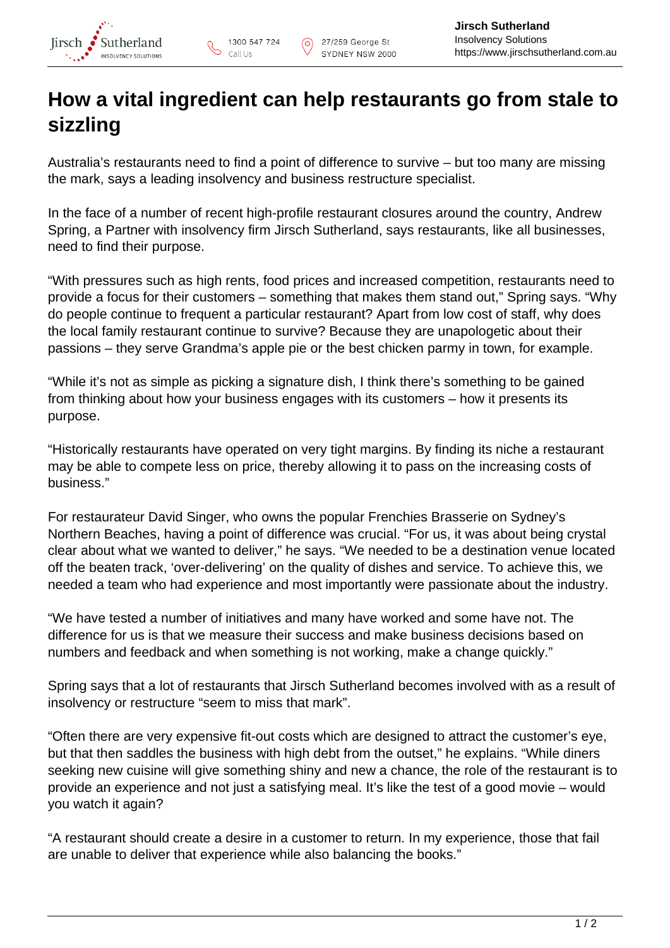

## **How a vital ingredient can help restaurants go from stale to sizzling**

Australia's restaurants need to find a point of difference to survive – but too many are missing the mark, says a leading insolvency and business restructure specialist.

In the face of a number of recent high-profile restaurant closures around the country, Andrew Spring, a Partner with insolvency firm Jirsch Sutherland, says restaurants, like all businesses, need to find their purpose.

"With pressures such as high rents, food prices and increased competition, restaurants need to provide a focus for their customers – something that makes them stand out," Spring says. "Why do people continue to frequent a particular restaurant? Apart from low cost of staff, why does the local family restaurant continue to survive? Because they are unapologetic about their passions – they serve Grandma's apple pie or the best chicken parmy in town, for example.

"While it's not as simple as picking a signature dish, I think there's something to be gained from thinking about how your business engages with its customers – how it presents its purpose.

"Historically restaurants have operated on very tight margins. By finding its niche a restaurant may be able to compete less on price, thereby allowing it to pass on the increasing costs of business."

For restaurateur David Singer, who owns the popular Frenchies Brasserie on Sydney's Northern Beaches, having a point of difference was crucial. "For us, it was about being crystal clear about what we wanted to deliver," he says. "We needed to be a destination venue located off the beaten track, 'over-delivering' on the quality of dishes and service. To achieve this, we needed a team who had experience and most importantly were passionate about the industry.

"We have tested a number of initiatives and many have worked and some have not. The difference for us is that we measure their success and make business decisions based on numbers and feedback and when something is not working, make a change quickly."

Spring says that a lot of restaurants that Jirsch Sutherland becomes involved with as a result of insolvency or restructure "seem to miss that mark".

"Often there are very expensive fit-out costs which are designed to attract the customer's eye, but that then saddles the business with high debt from the outset," he explains. "While diners seeking new cuisine will give something shiny and new a chance, the role of the restaurant is to provide an experience and not just a satisfying meal. It's like the test of a good movie – would you watch it again?

"A restaurant should create a desire in a customer to return. In my experience, those that fail are unable to deliver that experience while also balancing the books."